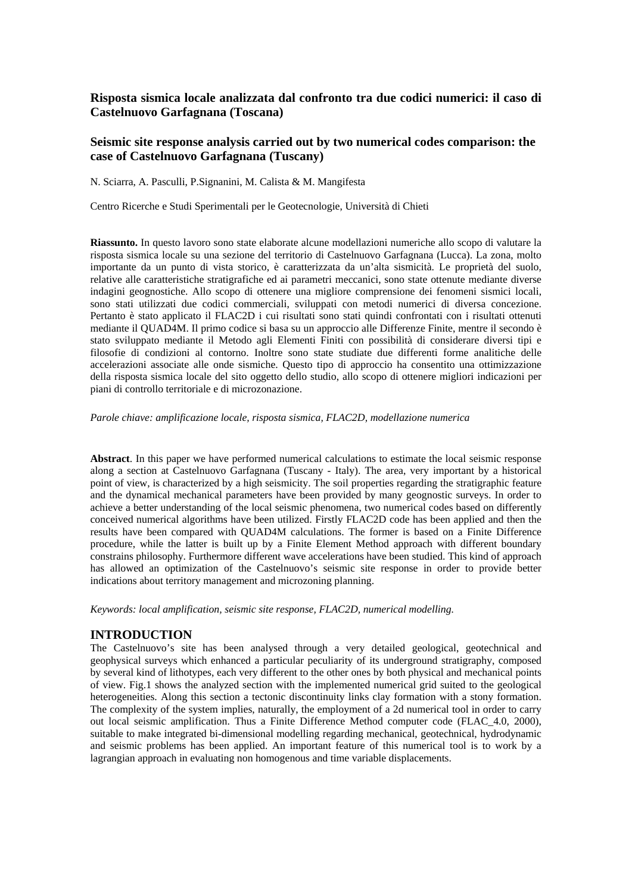# **Risposta sismica locale analizzata dal confronto tra due codici numerici: il caso di Castelnuovo Garfagnana (Toscana)**

## **Seismic site response analysis carried out by two numerical codes comparison: the case of Castelnuovo Garfagnana (Tuscany)**

N. Sciarra, A. Pasculli, P.Signanini, M. Calista & M. Mangifesta

Centro Ricerche e Studi Sperimentali per le Geotecnologie, Università di Chieti

**Riassunto.** In questo lavoro sono state elaborate alcune modellazioni numeriche allo scopo di valutare la risposta sismica locale su una sezione del territorio di Castelnuovo Garfagnana (Lucca). La zona, molto importante da un punto di vista storico, è caratterizzata da un'alta sismicità. Le proprietà del suolo, relative alle caratteristiche stratigrafiche ed ai parametri meccanici, sono state ottenute mediante diverse indagini geognostiche. Allo scopo di ottenere una migliore comprensione dei fenomeni sismici locali, sono stati utilizzati due codici commerciali, sviluppati con metodi numerici di diversa concezione. Pertanto è stato applicato il FLAC2D i cui risultati sono stati quindi confrontati con i risultati ottenuti mediante il QUAD4M. Il primo codice si basa su un approccio alle Differenze Finite, mentre il secondo è stato sviluppato mediante il Metodo agli Elementi Finiti con possibilità di considerare diversi tipi e filosofie di condizioni al contorno. Inoltre sono state studiate due differenti forme analitiche delle accelerazioni associate alle onde sismiche. Questo tipo di approccio ha consentito una ottimizzazione della risposta sismica locale del sito oggetto dello studio, allo scopo di ottenere migliori indicazioni per piani di controllo territoriale e di microzonazione.

*Parole chiave: amplificazione locale, risposta sismica, FLAC2D, modellazione numerica* 

**Abstract**. In this paper we have performed numerical calculations to estimate the local seismic response along a section at Castelnuovo Garfagnana (Tuscany - Italy). The area, very important by a historical point of view, is characterized by a high seismicity. The soil properties regarding the stratigraphic feature and the dynamical mechanical parameters have been provided by many geognostic surveys. In order to achieve a better understanding of the local seismic phenomena, two numerical codes based on differently conceived numerical algorithms have been utilized. Firstly FLAC2D code has been applied and then the results have been compared with QUAD4M calculations. The former is based on a Finite Difference procedure, while the latter is built up by a Finite Element Method approach with different boundary constrains philosophy. Furthermore different wave accelerations have been studied. This kind of approach has allowed an optimization of the Castelnuovo's seismic site response in order to provide better indications about territory management and microzoning planning.

*Keywords: local amplification, seismic site response, FLAC2D, numerical modelling.* 

### **INTRODUCTION**

The Castelnuovo's site has been analysed through a very detailed geological, geotechnical and geophysical surveys which enhanced a particular peculiarity of its underground stratigraphy, composed by several kind of lithotypes, each very different to the other ones by both physical and mechanical points of view. Fig.1 shows the analyzed section with the implemented numerical grid suited to the geological heterogeneities. Along this section a tectonic discontinuity links clay formation with a stony formation. The complexity of the system implies, naturally, the employment of a 2d numerical tool in order to carry out local seismic amplification. Thus a Finite Difference Method computer code (FLAC\_4.0, 2000), suitable to make integrated bi-dimensional modelling regarding mechanical, geotechnical, hydrodynamic and seismic problems has been applied. An important feature of this numerical tool is to work by a lagrangian approach in evaluating non homogenous and time variable displacements.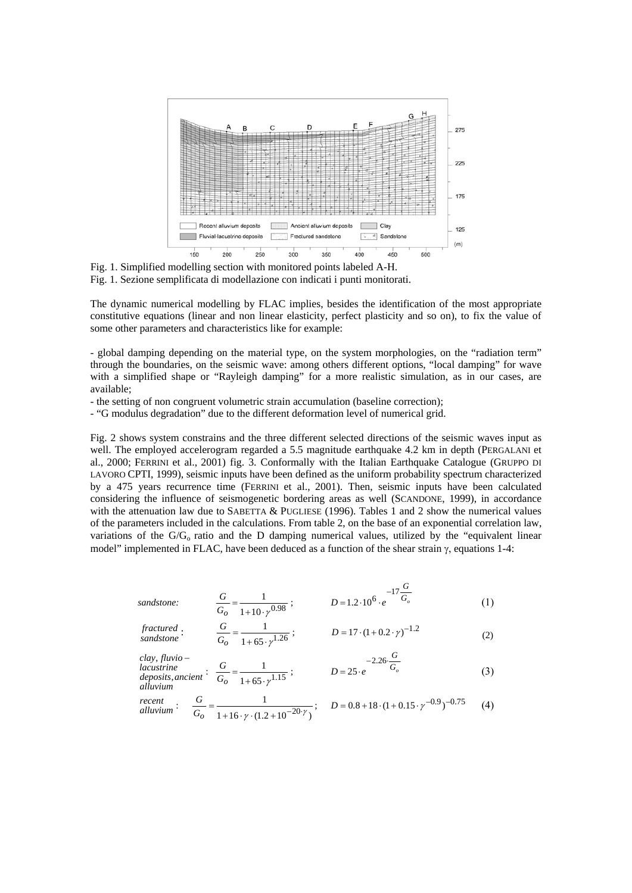

Fig. 1. Simplified modelling section with monitored points labeled A-H. Fig. 1. Sezione semplificata di modellazione con indicati i punti monitorati.

The dynamic numerical modelling by FLAC implies, besides the identification of the most appropriate constitutive equations (linear and non linear elasticity, perfect plasticity and so on), to fix the value of some other parameters and characteristics like for example:

- global damping depending on the material type, on the system morphologies, on the "radiation term" through the boundaries, on the seismic wave: among others different options, "local damping" for wave with a simplified shape or "Rayleigh damping" for a more realistic simulation, as in our cases, are available;

- the setting of non congruent volumetric strain accumulation (baseline correction);

- "G modulus degradation" due to the different deformation level of numerical grid.

Fig. 2 shows system constrains and the three different selected directions of the seismic waves input as well. The employed accelerogram regarded a 5.5 magnitude earthquake 4.2 km in depth (PERGALANI et al., 2000; FERRINI et al., 2001) fig. 3. Conformally with the Italian Earthquake Catalogue (GRUPPO DI LAVORO CPTI, 1999), seismic inputs have been defined as the uniform probability spectrum characterized by a 475 years recurrence time (FERRINI et al., 2001). Then, seismic inputs have been calculated considering the influence of seismogenetic bordering areas as well (SCANDONE, 1999), in accordance with the attenuation law due to SABETTA  $&$  PUGLIESE (1996). Tables 1 and 2 show the numerical values of the parameters included in the calculations. From table 2, on the base of an exponential correlation law, variations of the  $G/G<sub>o</sub>$  ratio and the D damping numerical values, utilized by the "equivalent linear model" implemented in FLAC, have been deduced as a function of the shear strain  $\gamma$ , equations 1-4:

sandstone: 
$$
\frac{G}{G_o} = \frac{1}{1 + 10 \cdot \gamma^{0.98}}; \qquad D = 1.2 \cdot 10^6 \cdot e^{-17 \frac{G}{G_o}}
$$
(1)

$$
fractured : \frac{G}{G_0} = \frac{1}{1 + 65 \cdot \gamma^{1.26}}; \qquad D = 17 \cdot (1 + 0.2 \cdot \gamma)^{-1.2}
$$
 (2)

*alluvium deposits ancient* , *lacustrine clay fluvio* , − :  $\frac{G}{G_O} = \frac{1}{1 + 65 \cdot \gamma^{1.15}}$ 1  $+ 65. \gamma$  $\frac{8}{G_o}$  = *G* ;  $D = 25 \cdot e^{-1.6} G_{\circ}$ *G*  $D = 25 \cdot e$  $-2.26$  $= 25.$ 2.26  $25 \cdot e$   $G_o$  (3)

$$
recentalluvium: \quad \frac{G}{G_o} = \frac{1}{1 + 16 \cdot \gamma \cdot (1.2 + 10^{-20} \cdot \gamma)}; \quad D = 0.8 + 18 \cdot (1 + 0.15 \cdot \gamma^{-0.9})^{-0.75} \tag{4}
$$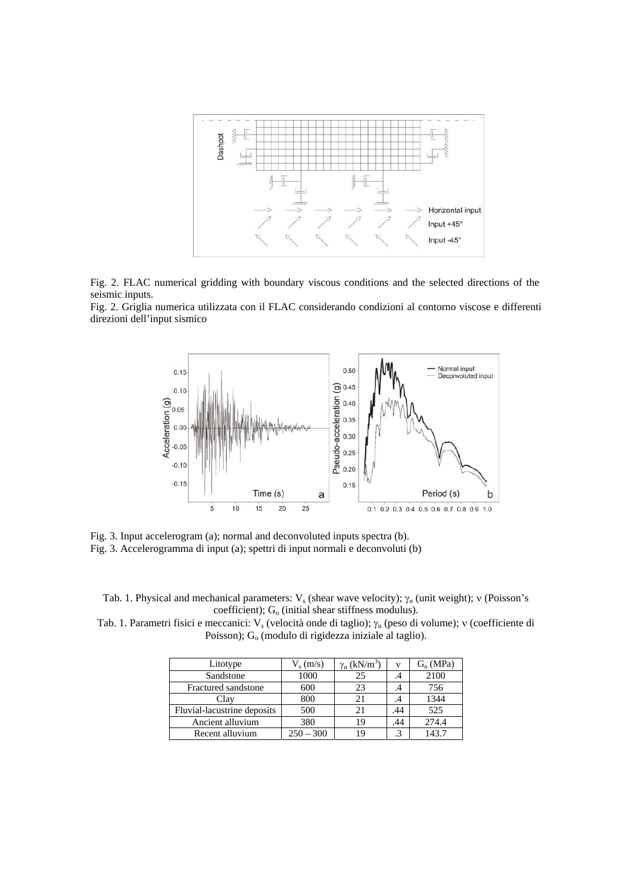

Fig. 2. FLAC numerical gridding with boundary viscous conditions and the selected directions of the seismic inputs.

Fig. 2. Griglia numerica utilizzata con il FLAC considerando condizioni al contorno viscose e differenti direzioni dell'input sismico



Fig. 3. Input accelerogram (a); normal and deconvoluted inputs spectra (b). Fig. 3. Accelerogramma di input (a); spettri di input normali e deconvoluti (b)

Tab. 1. Physical and mechanical parameters:  $V_s$  (shear wave velocity);  $\gamma_n$  (unit weight); ν (Poisson's coefficient);  $G_0$  (initial shear stiffness modulus).

Tab. 1. Parametri fisici e meccanici: V<sub>s</sub> (velocità onde di taglio); γ<sub>n</sub> (peso di volume); ν (coefficiente di Poisson);  $G<sub>o</sub>$  (modulo di rigidezza iniziale al taglio).

| Litotype                    | $V_s$ (m/s) | $\gamma_n$ (kN/m <sup>3</sup> ) | ν   | $G_0(MPa)$ |
|-----------------------------|-------------|---------------------------------|-----|------------|
| Sandstone                   | 1000        | 25                              | .4  | 2100       |
| Fractured sandstone         | 600         | 23                              | .4  | 756        |
| Clay                        | 800         | 21                              | .4  | 1344       |
| Fluvial-lacustrine deposits | 500         | 21                              | .44 | 525        |
| Ancient alluvium            | 380         | 19                              | .44 | 274.4      |
| Recent alluvium             | $250 - 300$ |                                 |     | 143.7      |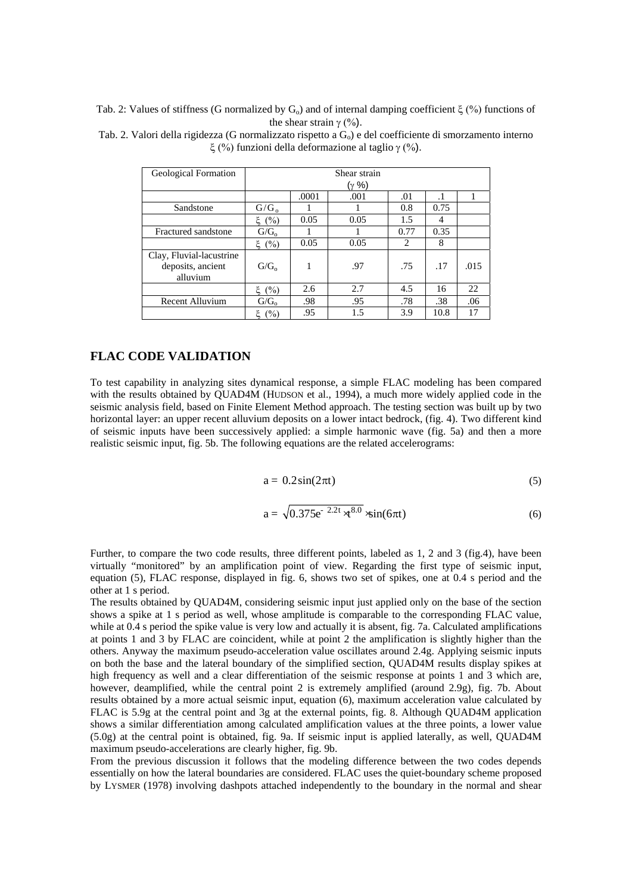Tab. 2: Values of stiffness (G normalized by  $G_0$ ) and of internal damping coefficient  $\xi$  (%) functions of the shear strain  $\gamma$  (%).

| Geological Formation                                      | Shear strain     |       |      |      |      |      |  |  |  |
|-----------------------------------------------------------|------------------|-------|------|------|------|------|--|--|--|
|                                                           | (γ %)            |       |      |      |      |      |  |  |  |
|                                                           |                  | .0001 | .001 | .01  |      |      |  |  |  |
| Sandstone                                                 | $G/G_0$          |       |      | 0.8  | 0.75 |      |  |  |  |
|                                                           | $\xi(%)$         | 0.05  | 0.05 | 1.5  | 4    |      |  |  |  |
| Fractured sandstone                                       | G/G <sub>o</sub> |       |      | 0.77 | 0.35 |      |  |  |  |
|                                                           | ξ (%)            | 0.05  | 0.05 | 2    | 8    |      |  |  |  |
| Clay, Fluvial-lacustrine<br>deposits, ancient<br>alluvium | G/G <sub>o</sub> | 1     | .97  | .75  | .17  | .015 |  |  |  |
|                                                           | (%)              | 2.6   | 2.7  | 4.5  | 16   | 22   |  |  |  |
| Recent Alluvium                                           | G/G <sub>o</sub> | .98   | .95  | .78  | .38  | .06  |  |  |  |
|                                                           | (%)              | .95   | 1.5  | 3.9  | 10.8 | 17   |  |  |  |

Tab. 2. Valori della rigidezza (G normalizzato rispetto a  $G_0$ ) e del coefficiente di smorzamento interno ξ (%) funzioni della deformazione al taglio γ (%).

## **FLAC CODE VALIDATION**

To test capability in analyzing sites dynamical response, a simple FLAC modeling has been compared with the results obtained by QUAD4M (HUDSON et al., 1994), a much more widely applied code in the seismic analysis field, based on Finite Element Method approach. The testing section was built up by two horizontal layer: an upper recent alluvium deposits on a lower intact bedrock, (fig. 4). Two different kind of seismic inputs have been successively applied: a simple harmonic wave (fig. 5a) and then a more realistic seismic input, fig. 5b. The following equations are the related accelerograms:

$$
a = 0.2\sin(2\pi t) \tag{5}
$$

$$
a = \sqrt{0.375}e^{-2.2t} \times 10^{8.0} \times \sin(6\pi t)
$$
 (6)

Further, to compare the two code results, three different points, labeled as 1, 2 and 3 (fig.4), have been virtually "monitored" by an amplification point of view. Regarding the first type of seismic input, equation (5), FLAC response, displayed in fig. 6, shows two set of spikes, one at 0.4 s period and the other at 1 s period.

The results obtained by QUAD4M, considering seismic input just applied only on the base of the section shows a spike at 1 s period as well, whose amplitude is comparable to the corresponding FLAC value, while at  $0.4$  s period the spike value is very low and actually it is absent, fig. 7a. Calculated amplifications at points 1 and 3 by FLAC are coincident, while at point 2 the amplification is slightly higher than the others. Anyway the maximum pseudo-acceleration value oscillates around 2.4g. Applying seismic inputs on both the base and the lateral boundary of the simplified section, QUAD4M results display spikes at high frequency as well and a clear differentiation of the seismic response at points 1 and 3 which are, however, deamplified, while the central point 2 is extremely amplified (around 2.9g), fig. 7b. About results obtained by a more actual seismic input, equation (6), maximum acceleration value calculated by FLAC is 5.9g at the central point and 3g at the external points, fig. 8. Although QUAD4M application shows a similar differentiation among calculated amplification values at the three points, a lower value (5.0g) at the central point is obtained, fig. 9a. If seismic input is applied laterally, as well, QUAD4M maximum pseudo-accelerations are clearly higher, fig. 9b.

From the previous discussion it follows that the modeling difference between the two codes depends essentially on how the lateral boundaries are considered. FLAC uses the quiet-boundary scheme proposed by LYSMER (1978) involving dashpots attached independently to the boundary in the normal and shear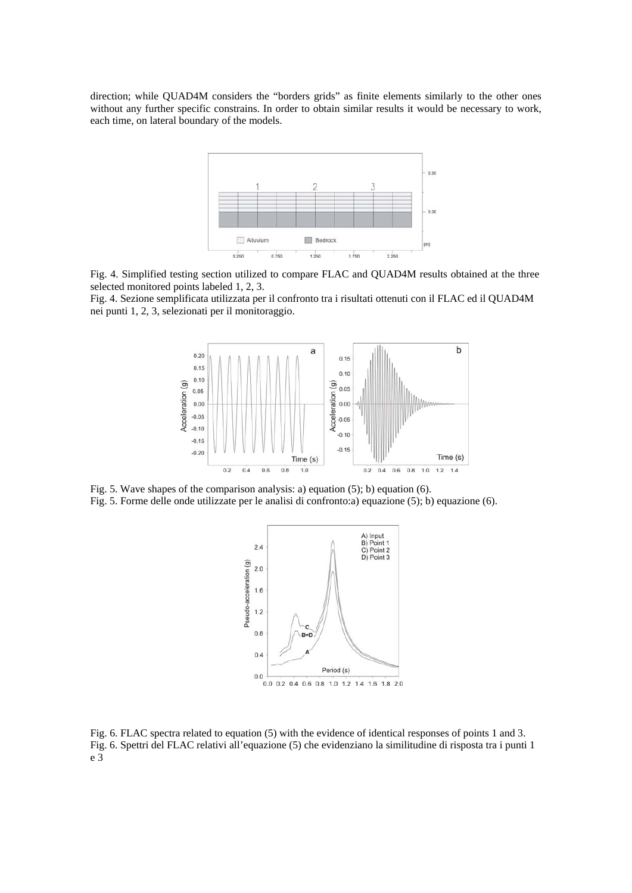direction; while QUAD4M considers the "borders grids" as finite elements similarly to the other ones without any further specific constrains. In order to obtain similar results it would be necessary to work, each time, on lateral boundary of the models.



Fig. 4. Simplified testing section utilized to compare FLAC and QUAD4M results obtained at the three selected monitored points labeled 1, 2, 3.

Fig. 4. Sezione semplificata utilizzata per il confronto tra i risultati ottenuti con il FLAC ed il QUAD4M nei punti 1, 2, 3, selezionati per il monitoraggio.



Fig. 5. Wave shapes of the comparison analysis: a) equation (5); b) equation (6). Fig. 5. Forme delle onde utilizzate per le analisi di confronto:a) equazione (5); b) equazione (6).



Fig. 6. FLAC spectra related to equation (5) with the evidence of identical responses of points 1 and 3. Fig. 6. Spettri del FLAC relativi all'equazione (5) che evidenziano la similitudine di risposta tra i punti 1 e 3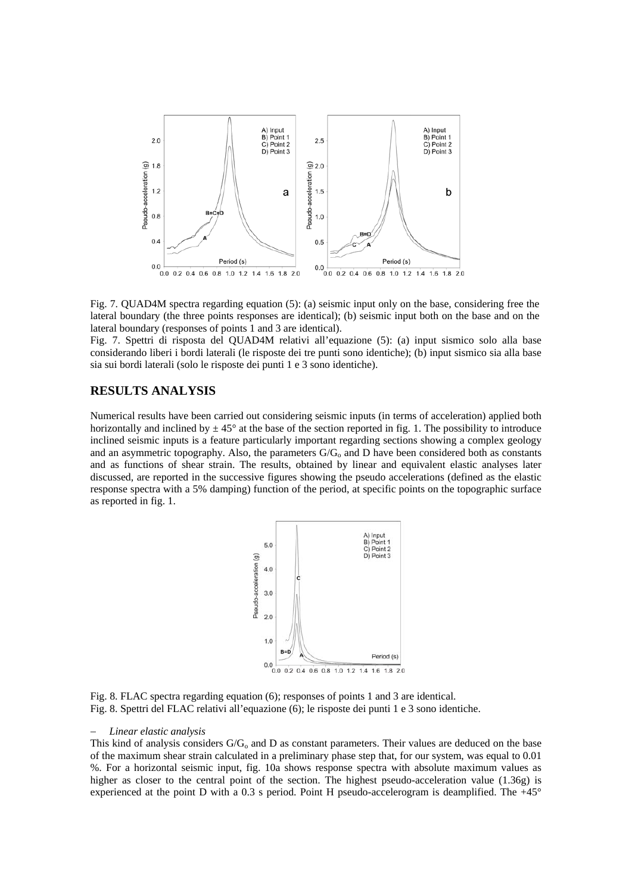

Fig. 7. QUAD4M spectra regarding equation (5): (a) seismic input only on the base, considering free the lateral boundary (the three points responses are identical); (b) seismic input both on the base and on the lateral boundary (responses of points 1 and 3 are identical).

Fig. 7. Spettri di risposta del QUAD4M relativi all'equazione (5): (a) input sismico solo alla base considerando liberi i bordi laterali (le risposte dei tre punti sono identiche); (b) input sismico sia alla base sia sui bordi laterali (solo le risposte dei punti 1 e 3 sono identiche).

#### **RESULTS ANALYSIS**

Numerical results have been carried out considering seismic inputs (in terms of acceleration) applied both horizontally and inclined by  $\pm 45^{\circ}$  at the base of the section reported in fig. 1. The possibility to introduce inclined seismic inputs is a feature particularly important regarding sections showing a complex geology and an asymmetric topography. Also, the parameters  $G/G_0$  and D have been considered both as constants and as functions of shear strain. The results, obtained by linear and equivalent elastic analyses later discussed, are reported in the successive figures showing the pseudo accelerations (defined as the elastic response spectra with a 5% damping) function of the period, at specific points on the topographic surface as reported in fig. 1.



Fig. 8. FLAC spectra regarding equation (6); responses of points 1 and 3 are identical. Fig. 8. Spettri del FLAC relativi all'equazione (6); le risposte dei punti 1 e 3 sono identiche.

#### − *Linear elastic analysis*

This kind of analysis considers  $G/G_0$  and D as constant parameters. Their values are deduced on the base of the maximum shear strain calculated in a preliminary phase step that, for our system, was equal to 0.01 %. For a horizontal seismic input, fig. 10a shows response spectra with absolute maximum values as higher as closer to the central point of the section. The highest pseudo-acceleration value (1.36g) is experienced at the point D with a 0.3 s period. Point H pseudo-accelerogram is deamplified. The +45°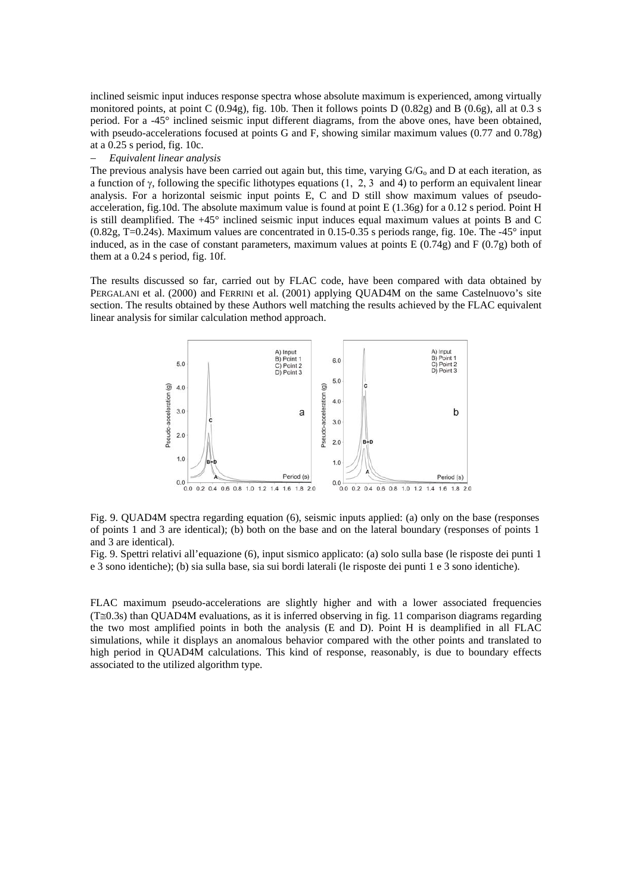inclined seismic input induces response spectra whose absolute maximum is experienced, among virtually monitored points, at point C (0.94g), fig. 10b. Then it follows points D (0.82g) and B (0.6g), all at 0.3 s period. For a -45° inclined seismic input different diagrams, from the above ones, have been obtained, with pseudo-accelerations focused at points G and F, showing similar maximum values (0.77 and 0.78g) at a 0.25 s period, fig. 10c.

#### − *Equivalent linear analysis*

The previous analysis have been carried out again but, this time, varying  $G/G_0$  and D at each iteration, as a function of γ, following the specific lithotypes equations (1, 2, 3 and 4) to perform an equivalent linear analysis. For a horizontal seismic input points E, C and D still show maximum values of pseudoacceleration, fig.10d. The absolute maximum value is found at point E (1.36g) for a 0.12 s period. Point H is still deamplified. The +45° inclined seismic input induces equal maximum values at points B and C (0.82g, T=0.24s). Maximum values are concentrated in 0.15-0.35 s periods range, fig. 10e. The -45° input induced, as in the case of constant parameters, maximum values at points  $E(0.74g)$  and  $F(0.7g)$  both of them at a 0.24 s period, fig. 10f.

The results discussed so far, carried out by FLAC code, have been compared with data obtained by PERGALANI et al. (2000) and FERRINI et al. (2001) applying QUAD4M on the same Castelnuovo's site section. The results obtained by these Authors well matching the results achieved by the FLAC equivalent linear analysis for similar calculation method approach.



Fig. 9. QUAD4M spectra regarding equation (6), seismic inputs applied: (a) only on the base (responses of points 1 and 3 are identical); (b) both on the base and on the lateral boundary (responses of points 1 and 3 are identical).

Fig. 9. Spettri relativi all'equazione (6), input sismico applicato: (a) solo sulla base (le risposte dei punti 1 e 3 sono identiche); (b) sia sulla base, sia sui bordi laterali (le risposte dei punti 1 e 3 sono identiche).

FLAC maximum pseudo-accelerations are slightly higher and with a lower associated frequencies  $(T\cong 0.3s)$  than QUAD4M evaluations, as it is inferred observing in fig. 11 comparison diagrams regarding the two most amplified points in both the analysis (E and D). Point H is deamplified in all FLAC simulations, while it displays an anomalous behavior compared with the other points and translated to high period in QUAD4M calculations. This kind of response, reasonably, is due to boundary effects associated to the utilized algorithm type.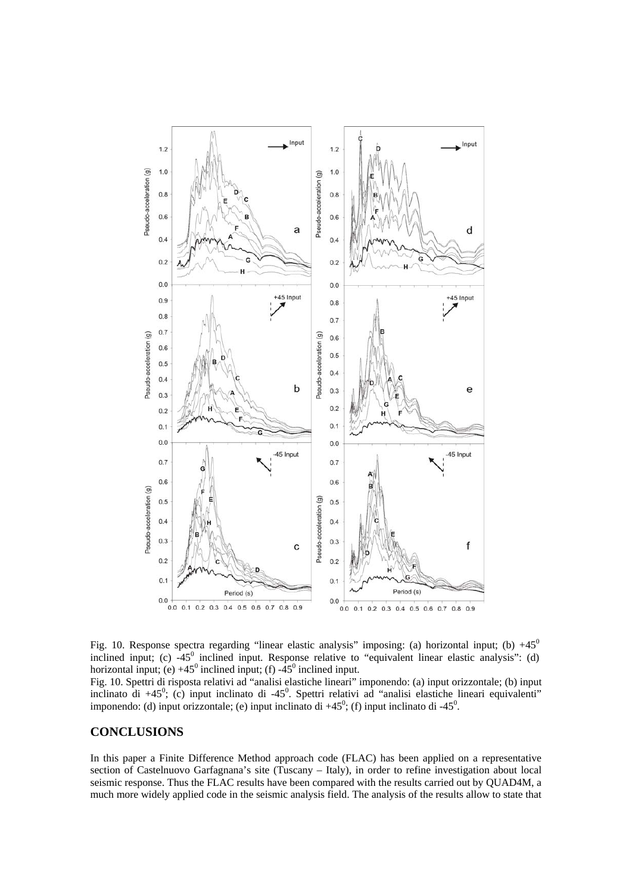

Fig. 10. Response spectra regarding "linear elastic analysis" imposing: (a) horizontal input; (b)  $+45^{\circ}$ inclined input; (c)  $-45^\circ$  inclined input. Response relative to "equivalent linear elastic analysis": (d) horizontal input; (e)  $+45^{\circ}$  inclined input; (f)  $-45^{\circ}$  inclined input.

Fig. 10. Spettri di risposta relativi ad "analisi elastiche lineari" imponendo: (a) input orizzontale; (b) input inclinato di +45<sup>0</sup>; (c) input inclinato di -45<sup>0</sup>. Spettri relativi ad "analisi elastiche lineari equivalenti" imponendo: (d) input orizzontale; (e) input inclinato di  $+45^\circ$ ; (f) input inclinato di  $-45^\circ$ .

## **CONCLUSIONS**

In this paper a Finite Difference Method approach code (FLAC) has been applied on a representative section of Castelnuovo Garfagnana's site (Tuscany – Italy), in order to refine investigation about local seismic response. Thus the FLAC results have been compared with the results carried out by QUAD4M, a much more widely applied code in the seismic analysis field. The analysis of the results allow to state that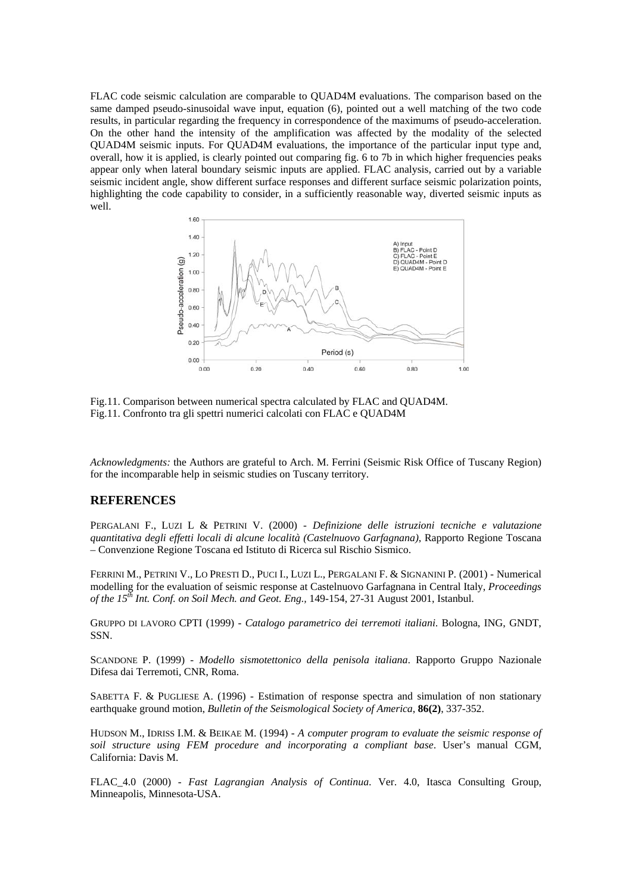FLAC code seismic calculation are comparable to QUAD4M evaluations. The comparison based on the same damped pseudo-sinusoidal wave input, equation (6), pointed out a well matching of the two code results, in particular regarding the frequency in correspondence of the maximums of pseudo-acceleration. On the other hand the intensity of the amplification was affected by the modality of the selected QUAD4M seismic inputs. For QUAD4M evaluations, the importance of the particular input type and, overall, how it is applied, is clearly pointed out comparing fig. 6 to 7b in which higher frequencies peaks appear only when lateral boundary seismic inputs are applied. FLAC analysis, carried out by a variable seismic incident angle, show different surface responses and different surface seismic polarization points, highlighting the code capability to consider, in a sufficiently reasonable way, diverted seismic inputs as well.



Fig.11. Comparison between numerical spectra calculated by FLAC and QUAD4M. Fig.11. Confronto tra gli spettri numerici calcolati con FLAC e QUAD4M

*Acknowledgments:* the Authors are grateful to Arch. M. Ferrini (Seismic Risk Office of Tuscany Region) for the incomparable help in seismic studies on Tuscany territory.

#### **REFERENCES**

PERGALANI F., LUZI L & PETRINI V. (2000) - *Definizione delle istruzioni tecniche e valutazione quantitativa degli effetti locali di alcune località (Castelnuovo Garfagnana)*, Rapporto Regione Toscana – Convenzione Regione Toscana ed Istituto di Ricerca sul Rischio Sismico.

FERRINI M., PETRINI V., LO PRESTI D., PUCI I., LUZI L., PERGALANI F. & SIGNANINI P. (2001) - Numerical modelling for the evaluation of seismic response at Castelnuovo Garfagnana in Central Italy, *Proceedings of the 15th Int. Conf. on Soil Mech. and Geot. Eng.,* 149-154, 27-31 August 2001, Istanbul.

GRUPPO DI LAVORO CPTI (1999) - *Catalogo parametrico dei terremoti italiani*. Bologna, ING, GNDT, SSN.

SCANDONE P. (1999) - *Modello sismotettonico della penisola italiana*. Rapporto Gruppo Nazionale Difesa dai Terremoti, CNR, Roma.

SABETTA F. & PUGLIESE A. (1996) - Estimation of response spectra and simulation of non stationary earthquake ground motion, *Bulletin of the Seismological Society of America*, **86(2)**, 337-352.

HUDSON M., IDRISS I.M. & BEIKAE M. (1994) - *A computer program to evaluate the seismic response of soil structure using FEM procedure and incorporating a compliant base*. User's manual CGM, California: Davis M.

FLAC\_4.0 (2000) - *Fast Lagrangian Analysis of Continua*. Ver. 4.0, Itasca Consulting Group, Minneapolis, Minnesota-USA.